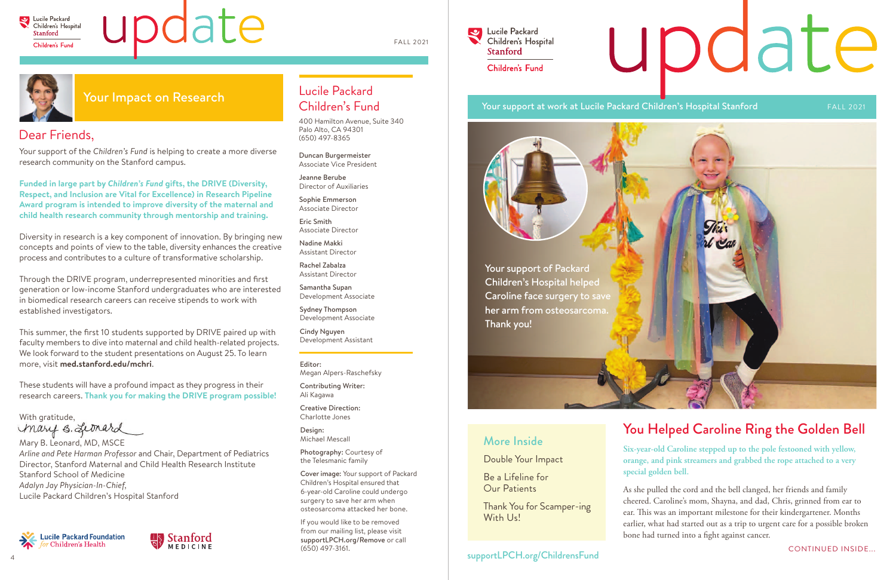

# Indate

As she pulled the cord and the bell clanged, her friends and family cheered. Caroline's mom, Shayna, and dad, Chris, grinned from ear to ear. This was an important milestone for their kindergartener. Months earlier, what had started out as a trip to urgent care for a possible broken bone had turned into a fight against cancer.

**Six-year-old Caroline stepped up to the pole festooned with yellow, orange, and pink streamers and grabbed the rope attached to a very** 

**special golden bell.** 

# You Helped Caroline Ring the Golden Bell More Inside

Double Your Impact

Be a Lifeline for Our Patients

Thank You for Scamper-ing With Us!

# Dear Friends,

Your support of the *Children's Fund* is helping to create a more diverse research community on the Stanford campus.

**Funded in large part by** *Children's Fund* **gifts, the DRIVE (Diversity, Respect, and Inclusion are Vital for Excellence) in Research Pipeline Award program is intended to improve diversity of the maternal and child health research community through mentorship and training.**

Diversity in research is a key component of innovation. By bringing new concepts and points of view to the table, diversity enhances the creative process and contributes to a culture of transformative scholarship.

Through the DRIVE program, underrepresented minorities and first generation or low-income Stanford undergraduates who are interested in biomedical research careers can receive stipends to work with established investigators.

Your support of Packard Children's Hospital helped Caroline face surgery to save her arm from osteosarcoma. Thank you!

This summer, the first 10 students supported by DRIVE paired up with faculty members to dive into maternal and child health-related projects. We look forward to the student presentations on August 25. To learn more, visit **med.stanford.edu/mchri**.

These students will have a profound impact as they progress in their research careers. **Thank you for making the DRIVE program possible!** 

With gratitude,<br>Mary **S.** Leonard

Mary B. Leonard, MD, MSCE *Arline and Pete Harman Professor* and Chair, Department of Pediatrics Director, Stanford Maternal and Child Health Research Institute Stanford School of Medicine *Adalyn Jay Physician-In-Chief,* Lucile Packard Children's Hospital Stanford





# Lucile Packard Children's Fund

400 Hamilton Avenue, Suite 340 Palo Alto, CA 94301 (650) 497-8365

Duncan Burgermeister Associate Vice President

Jeanne Berube Director of Auxiliaries

Sophie Emmerson Associate Director

Eric Smith Associate Director

Nadine Makki Assistant Director

Rachel Zabalza Assistant Director

Samantha Supan Development Associate

Sydney Thompson Development Associate

Cindy Nguyen Development Assistant

Editor: Megan Alpers-Raschefsky

Contributing Writer: Ali Kagawa

Creative Direction: Charlotte Jones

Design: Michael Mescall

Photography: Courtesy of the Telesmanic family

Cover image: Your support of Packard Children's Hospital ensured that 6-year-old Caroline could undergo surgery to save her arm when osteosarcoma attacked her bone.

If you would like to be removed from our mailing list, please visit supportLPCH.org/Remove or call (650) 497-3161.

Lucile Packard  $\blacktriangleright$ Children's Hospital **Stanford** Children's Fund

## Your support at work at Lucile Packard Children's Hospital Stanford FALL 2021

# Your Impact on Research

## supportLPCH.org/ChildrensFund

# update



FALL 2021